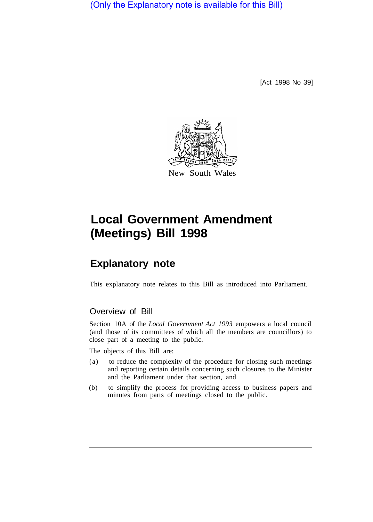(Only the Explanatory note is available for this Bill)

[Act 1998 No 39]



## **Local Government Amendment (Meetings) Bill 1998**

## **Explanatory note**

This explanatory note relates to this Bill as introduced into Parliament.

## Overview of Bill

Section 10A of the *Local Government Act 1993* empowers a local council (and those of its committees of which all the members are councillors) to close part of a meeting to the public.

The objects of this Bill are:

- (a) to reduce the complexity of the procedure for closing such meetings and reporting certain details concerning such closures to the Minister and the Parliament under that section, and
- (b) to simplify the process for providing access to business papers and minutes from parts of meetings closed to the public.